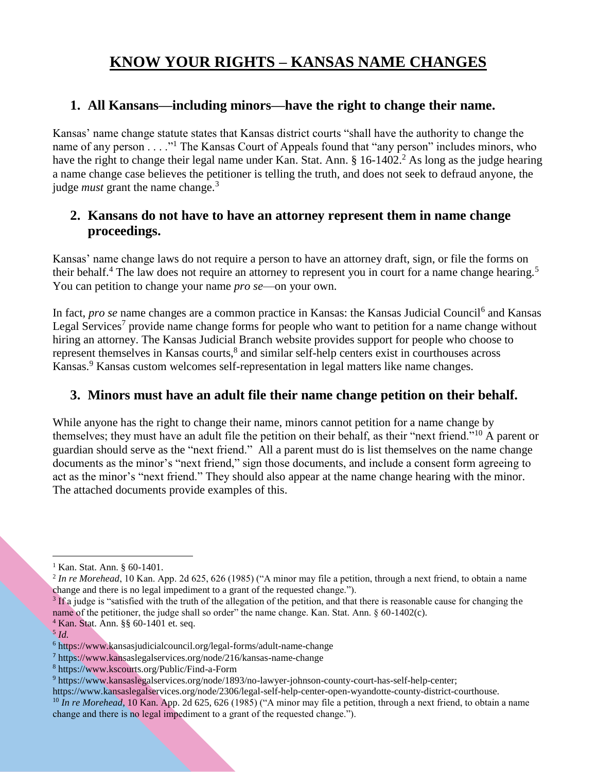# **KNOW YOUR RIGHTS – KANSAS NAME CHANGES**

#### **1. All Kansans—including minors—have the right to change their name.**

Kansas' name change statute states that Kansas district courts "shall have the authority to change the name of any person . . . . "<sup>1</sup> The Kansas Court of Appeals found that "any person" includes minors, who have the right to change their legal name under Kan. Stat. Ann. § 16-1402.<sup>2</sup> As long as the judge hearing a name change case believes the petitioner is telling the truth, and does not seek to defraud anyone, the judge *must* grant the name change.<sup>3</sup>

#### **2. Kansans do not have to have an attorney represent them in name change proceedings.**

Kansas' name change laws do not require a person to have an attorney draft, sign, or file the forms on their behalf.<sup>4</sup> The law does not require an attorney to represent you in court for a name change hearing.<sup>5</sup> You can petition to change your name *pro se*—on your own.

In fact, *pro se* name changes are a common practice in Kansas: the Kansas Judicial Council<sup>6</sup> and Kansas Legal Services<sup>7</sup> provide name change forms for people who want to petition for a name change without hiring an attorney. The Kansas Judicial Branch website provides support for people who choose to represent themselves in Kansas courts,<sup>8</sup> and similar self-help centers exist in courthouses across Kansas.<sup>9</sup> Kansas custom welcomes self-representation in legal matters like name changes.

# **3. Minors must have an adult file their name change petition on their behalf.**

While anyone has the right to change their name, minors cannot petition for a name change by themselves; they must have an adult file the petition on their behalf, as their "next friend."<sup>10</sup> A parent or guardian should serve as the "next friend." All a parent must do is list themselves on the name change documents as the minor's "next friend," sign those documents, and include a consent form agreeing to act as the minor's "next friend." They should also appear at the name change hearing with the minor. The attached documents provide examples of this.

 $\overline{a}$ Kan. Stat. Ann. § 60-1401.

<sup>2</sup> *In re Morehead*, 10 Kan. App. 2d 625, 626 (1985) ("A minor may file a petition, through a next friend, to obtain a name change and there is no legal impediment to a grant of the requested change.").

<sup>&</sup>lt;sup>3</sup> If a judge is "satisfied with the truth of the allegation of the petition, and that there is reasonable cause for changing the name of the petitioner, the judge shall so order" the name change. Kan. Stat. Ann. § 60-1402(c).

<sup>4</sup> Kan. Stat. Ann. §§ 60-1401 et. seq.

<sup>5</sup> *Id.*

<sup>6</sup> https://www.kansasjudicialcouncil.org/legal-forms/adult-name-change

<sup>7</sup> https://www.kansaslegalservices.org/node/216/kansas-name-change

<sup>8</sup> https://www.kscourts.org/Public/Find-a-Form

<sup>9</sup> https://www.kansaslegalservices.org/node/1893/no-lawyer-johnson-county-court-has-self-help-center;

https://www.kansaslegalservices.org/node/2306/legal-self-help-center-open-wyandotte-county-district-courthouse. <sup>10</sup> *In re Morehead*, 10 Kan. App. 2d 625, 626 (1985) ("A minor may file a petition, through a next friend, to obtain a name change and there is no legal impediment to a grant of the requested change.").